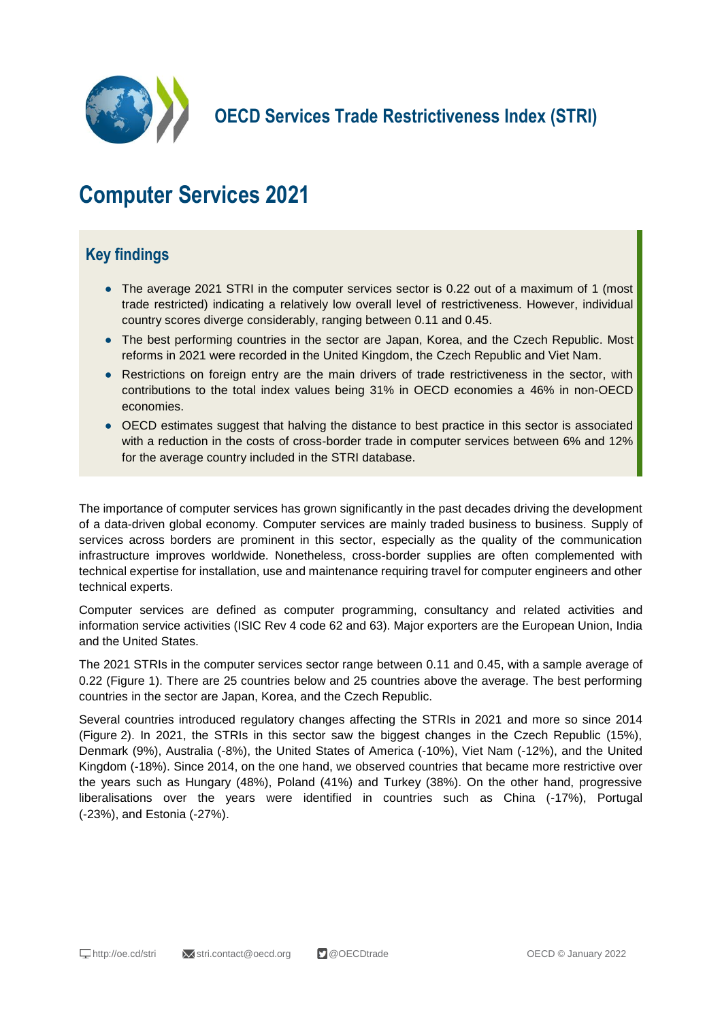

**OECD Services Trade Restrictiveness Index (STRI)**

## **Computer Services 2021**

## **Key findings**

- The average 2021 STRI in the computer services sector is 0.22 out of a maximum of 1 (most trade restricted) indicating a relatively low overall level of restrictiveness. However, individual country scores diverge considerably, ranging between 0.11 and 0.45.
- The best performing countries in the sector are Japan, Korea, and the Czech Republic. Most reforms in 2021 were recorded in the United Kingdom, the Czech Republic and Viet Nam.
- Restrictions on foreign entry are the main drivers of trade restrictiveness in the sector, with contributions to the total index values being 31% in OECD economies a 46% in non-OECD economies.
- OECD estimates suggest that halving the distance to best practice in this sector is associated with a reduction in the costs of cross-border trade in computer services between 6% and 12% for the average country included in the STRI database.

The importance of computer services has grown significantly in the past decades driving the development of a data-driven global economy. Computer services are mainly traded business to business. Supply of services across borders are prominent in this sector, especially as the quality of the communication infrastructure improves worldwide. Nonetheless, cross-border supplies are often complemented with technical expertise for installation, use and maintenance requiring travel for computer engineers and other technical experts.

Computer services are defined as computer programming, consultancy and related activities and information service activities (ISIC Rev 4 code 62 and 63). Major exporters are the European Union, India and the United States.

The 2021 STRIs in the computer services sector range between 0.11 and 0.45, with a sample average of 0.22 (Figure 1). There are 25 countries below and 25 countries above the average. The best performing countries in the sector are Japan, Korea, and the Czech Republic.

Several countries introduced regulatory changes affecting the STRIs in 2021 and more so since 2014 (Figure 2). In 2021, the STRIs in this sector saw the biggest changes in the Czech Republic (15%), Denmark (9%), Australia (-8%), the United States of America (-10%), Viet Nam (-12%), and the United Kingdom (-18%). Since 2014, on the one hand, we observed countries that became more restrictive over the years such as Hungary (48%), Poland (41%) and Turkey (38%). On the other hand, progressive liberalisations over the years were identified in countries such as China (-17%), Portugal (-23%), and Estonia (-27%).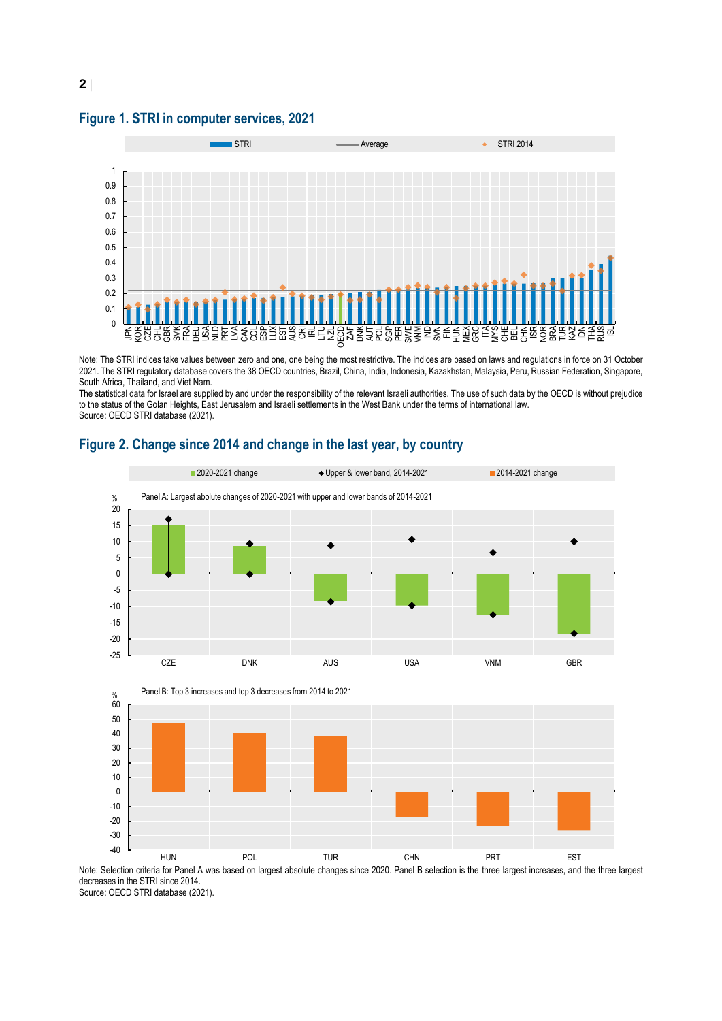**Figure 1. STRI in computer services, 2021**



Note: The STRI indices take values between zero and one, one being the most restrictive. The indices are based on laws and regulations in force on 31 October 2021. The STRI regulatory database covers the 38 OECD countries, Brazil, China, India, Indonesia, Kazakhstan, Malaysia, Peru, Russian Federation, Singapore, South Africa, Thailand, and Viet Nam.

The statistical data for Israel are supplied by and under the responsibility of the relevant Israeli authorities. The use of such data by the OECD is without prejudice to the status of the Golan Heights, East Jerusalem and Israeli settlements in the West Bank under the terms of international law. Source: OECD STRI database (2021).





Note: Selection criteria for Panel A was based on largest absolute changes since 2020. Panel B selection is the three largest increases, and the three largest decreases in the STRI since 2014. Source: OECD STRI database (2021).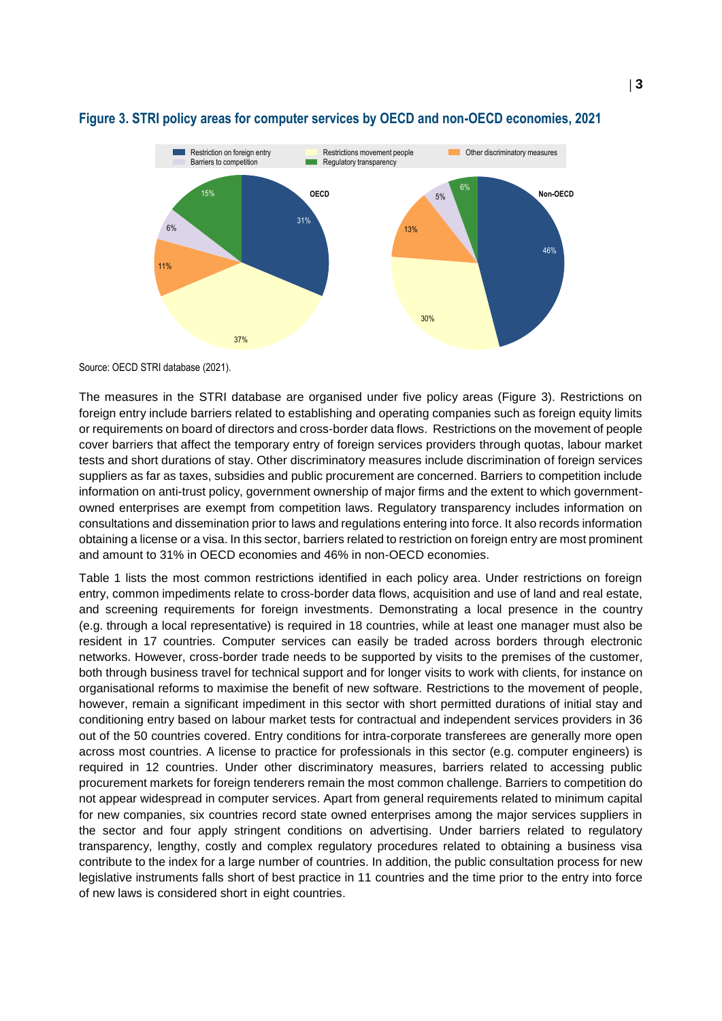

## **Figure 3. STRI policy areas for computer services by OECD and non-OECD economies, 2021**

Source: OECD STRI database (2021).

The measures in the STRI database are organised under five policy areas (Figure 3). Restrictions on foreign entry include barriers related to establishing and operating companies such as foreign equity limits or requirements on board of directors and cross-border data flows. Restrictions on the movement of people cover barriers that affect the temporary entry of foreign services providers through quotas, labour market tests and short durations of stay. Other discriminatory measures include discrimination of foreign services suppliers as far as taxes, subsidies and public procurement are concerned. Barriers to competition include information on anti-trust policy, government ownership of major firms and the extent to which governmentowned enterprises are exempt from competition laws. Regulatory transparency includes information on consultations and dissemination prior to laws and regulations entering into force. It also records information obtaining a license or a visa. In this sector, barriers related to restriction on foreign entry are most prominent and amount to 31% in OECD economies and 46% in non-OECD economies.

Table 1 lists the most common restrictions identified in each policy area. Under restrictions on foreign entry, common impediments relate to cross-border data flows, acquisition and use of land and real estate, and screening requirements for foreign investments. Demonstrating a local presence in the country (e.g. through a local representative) is required in 18 countries, while at least one manager must also be resident in 17 countries. Computer services can easily be traded across borders through electronic networks. However, cross-border trade needs to be supported by visits to the premises of the customer, both through business travel for technical support and for longer visits to work with clients, for instance on organisational reforms to maximise the benefit of new software. Restrictions to the movement of people, however, remain a significant impediment in this sector with short permitted durations of initial stay and conditioning entry based on labour market tests for contractual and independent services providers in 36 out of the 50 countries covered. Entry conditions for intra-corporate transferees are generally more open across most countries. A license to practice for professionals in this sector (e.g. computer engineers) is required in 12 countries. Under other discriminatory measures, barriers related to accessing public procurement markets for foreign tenderers remain the most common challenge. Barriers to competition do not appear widespread in computer services. Apart from general requirements related to minimum capital for new companies, six countries record state owned enterprises among the major services suppliers in the sector and four apply stringent conditions on advertising. Under barriers related to regulatory transparency, lengthy, costly and complex regulatory procedures related to obtaining a business visa contribute to the index for a large number of countries. In addition, the public consultation process for new legislative instruments falls short of best practice in 11 countries and the time prior to the entry into force of new laws is considered short in eight countries.